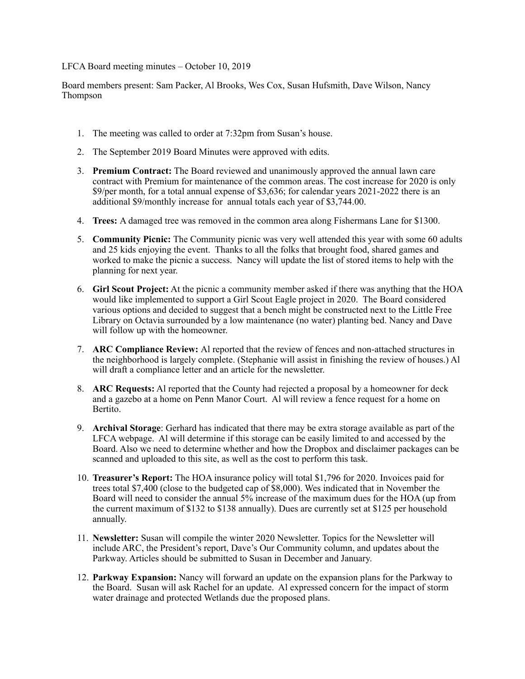LFCA Board meeting minutes – October 10, 2019

Board members present: Sam Packer, Al Brooks, Wes Cox, Susan Hufsmith, Dave Wilson, Nancy Thompson

- 1. The meeting was called to order at 7:32pm from Susan's house.
- 2. The September 2019 Board Minutes were approved with edits.
- 3. **Premium Contract:** The Board reviewed and unanimously approved the annual lawn care contract with Premium for maintenance of the common areas. The cost increase for 2020 is only \$9/per month, for a total annual expense of \$3,636; for calendar years 2021-2022 there is an additional \$9/monthly increase for annual totals each year of \$3,744.00.
- 4. **Trees:** A damaged tree was removed in the common area along Fishermans Lane for \$1300.
- 5. **Community Picnic:** The Community picnic was very well attended this year with some 60 adults and 25 kids enjoying the event. Thanks to all the folks that brought food, shared games and worked to make the picnic a success. Nancy will update the list of stored items to help with the planning for next year.
- 6. **Girl Scout Project:** At the picnic a community member asked if there was anything that the HOA would like implemented to support a Girl Scout Eagle project in 2020. The Board considered various options and decided to suggest that a bench might be constructed next to the Little Free Library on Octavia surrounded by a low maintenance (no water) planting bed. Nancy and Dave will follow up with the homeowner.
- 7. **ARC Compliance Review:** Al reported that the review of fences and non-attached structures in the neighborhood is largely complete. (Stephanie will assist in finishing the review of houses.) Al will draft a compliance letter and an article for the newsletter.
- 8. **ARC Requests:** Al reported that the County had rejected a proposal by a homeowner for deck and a gazebo at a home on Penn Manor Court. Al will review a fence request for a home on Bertito.
- 9. **Archival Storage**: Gerhard has indicated that there may be extra storage available as part of the LFCA webpage. Al will determine if this storage can be easily limited to and accessed by the Board. Also we need to determine whether and how the Dropbox and disclaimer packages can be scanned and uploaded to this site, as well as the cost to perform this task.
- 10. **Treasurer's Report:** The HOA insurance policy will total \$1,796 for 2020. Invoices paid for trees total \$7,400 (close to the budgeted cap of \$8,000). Wes indicated that in November the Board will need to consider the annual 5% increase of the maximum dues for the HOA (up from the current maximum of \$132 to \$138 annually). Dues are currently set at \$125 per household annually.
- 11. **Newsletter:** Susan will compile the winter 2020 Newsletter. Topics for the Newsletter will include ARC, the President's report, Dave's Our Community column, and updates about the Parkway. Articles should be submitted to Susan in December and January.
- 12. **Parkway Expansion:** Nancy will forward an update on the expansion plans for the Parkway to the Board. Susan will ask Rachel for an update. Al expressed concern for the impact of storm water drainage and protected Wetlands due the proposed plans.